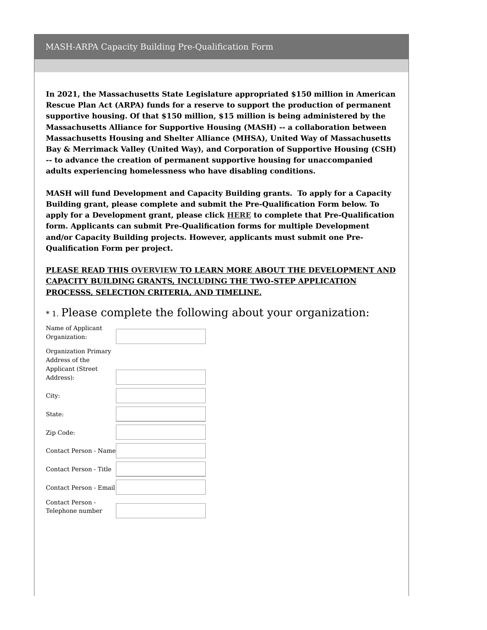**In 2021, the Massachusetts State Legislature appropriated \$150 million in American Rescue Plan Act (ARPA) funds for a reserve to support the production of permanent supportive housing. Of that \$150 million, \$15 million is being administered by the Massachusetts Alliance for Supportive Housing (MASH) -- a collaboration between Massachusetts Housing and Shelter Alliance (MHSA), United Way of Massachusetts Bay & Merrimack Valley (United Way), and Corporation of Supportive Housing (CSH) -- to advance the creation of permanent supportive housing for unaccompanied adults experiencing homelessness who have disabling conditions.**

**MASH will fund Development and Capacity Building grants. To apply for a Capacity Building grant, please complete and submit the Pre-Qualification Form below. To apply for a Development grant, please click [HERE](https://www.surveymonkey.com/r/MASH_DEVELPOMENT_GRANT) to complete that Pre-Qualification form. Applicants can submit Pre-Qualification forms for multiple Development and/or Capacity Building projects. However, applicants must submit one Pre-Qualification Form per project.**

## **PLEASE READ THIS [OVERVIEW](https://mhsa.net/wp-content/uploads/2022/06/MASH-ARPA-Document.pdf) TO LEARN MORE ABOUT THE DEVELOPMENT AND CAPACITY BUILDING GRANTS, INCLUDING THE TWO-STEP APPLICATION PROCESSS, SELECTION CRITERIA, AND TIMELINE.**

| *1. Please complete the following about your organization: |  |  |  |
|------------------------------------------------------------|--|--|--|
|                                                            |  |  |  |

| Name of Applicant      |  |
|------------------------|--|
| Organization:          |  |
|                        |  |
| Organization Primary   |  |
| Address of the         |  |
| Applicant (Street      |  |
| Address):              |  |
|                        |  |
| City:                  |  |
|                        |  |
| State:                 |  |
|                        |  |
|                        |  |
| Zip Code:              |  |
|                        |  |
| Contact Person - Name  |  |
|                        |  |
| Contact Person - Title |  |
|                        |  |
| Contact Person - Email |  |
|                        |  |
| Contact Person -       |  |
| Telephone number       |  |
|                        |  |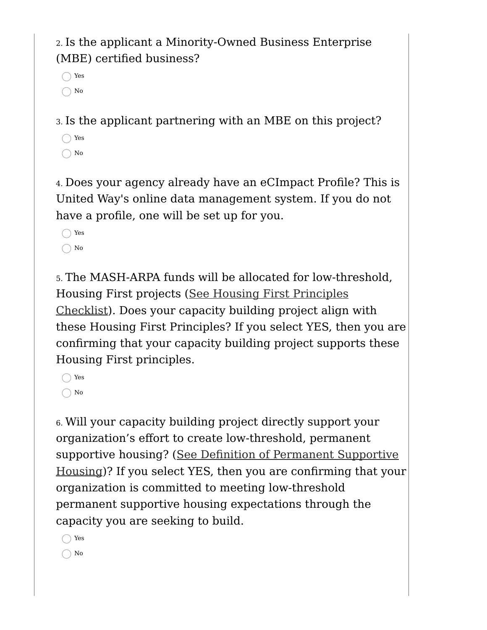2. Is the applicant a Minority-Owned Business Enterprise (MBE) certified business?

Yes  $\bigcap$  No

3. Is the applicant partnering with an MBE on this project?

◯ Yes  $\bigcap$  No

4. Does your agency already have an eCImpact Profile? This is United Way's online data management system. If you do not have a profile, one will be set up for you.

◯ Yes  $\bigcirc$  No

5. The MASH-ARPA funds will be allocated for low-threshold, Housing First projects (See Housing First Principles [Checklist\).](https://images.unitedwayconnect.org/upload/agencies/images/Housing_First_Checklist_PSH_COVID_relief_2022.pdf) Does your capacity building project align with these Housing First Principles? If you select YES, then you are confirming that your capacity building project supports these Housing First principles.

◯ Yes  $\bigcap$  No

6. Will your capacity building project directly support your organization's effort to create low-threshold, permanent supportive housing? (See Definition of Permanent [Supportive](https://images.unitedwayconnect.org/upload/agencies/images/Definition_of_PSH_update.pdf) Housing)? If you select YES, then you are confirming that your organization is committed to meeting low-threshold permanent supportive housing expectations through the capacity you are seeking to build.

◯ Yes  $\bigcap$  No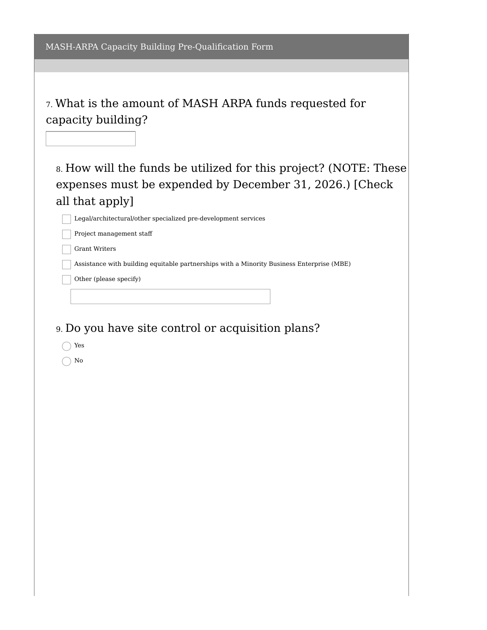7. What is the amount of MASH ARPA funds requested for capacity building?

8. How will the funds be utilized for this project? (NOTE: These expenses must be expended by December 31, 2026.) [Check all that apply]

Legal/architectural/other specialized pre-development services

Project management staff

Grant Writers

Assistance with building equitable partnerships with a Minority Business Enterprise (MBE)

Other (please specify)

9. Do you have site control or acquisition plans?

Yes

 $\bigcap$  No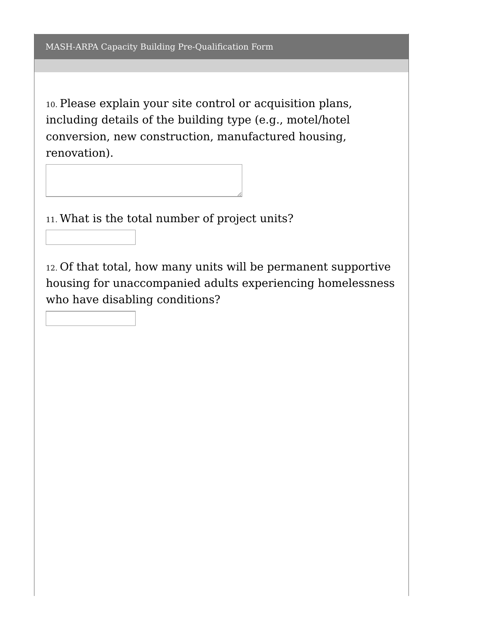10. Please explain your site control or acquisition plans, including details of the building type (e.g., motel/hotel conversion, new construction, manufactured housing, renovation).

11. What is the total number of project units?

12. Of that total, how many units will be permanent supportive housing for unaccompanied adults experiencing homelessness who have disabling conditions?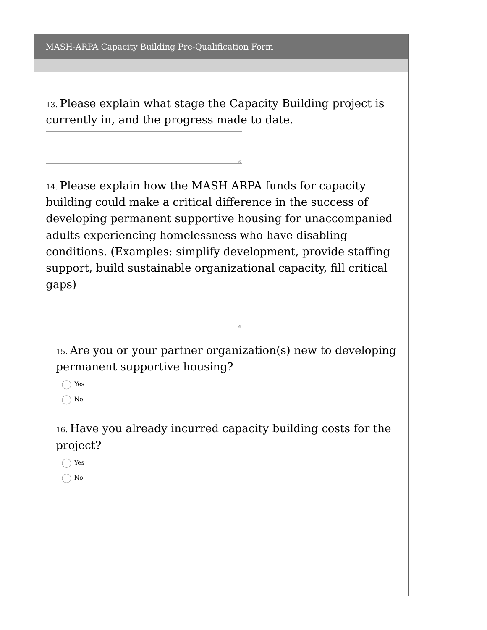13. Please explain what stage the Capacity Building project is currently in, and the progress made to date.

14. Please explain how the MASH ARPA funds for capacity building could make a critical difference in the success of developing permanent supportive housing for unaccompanied adults experiencing homelessness who have disabling conditions. (Examples: simplify development, provide staffing support, build sustainable organizational capacity, fill critical gaps)

15. Are you or your partner organization(s) new to developing permanent supportive housing?

◯ Yes  $\bigcap$  No

16. Have you already incurred capacity building costs for the project?

◯ Yes  $\bigcap$  No